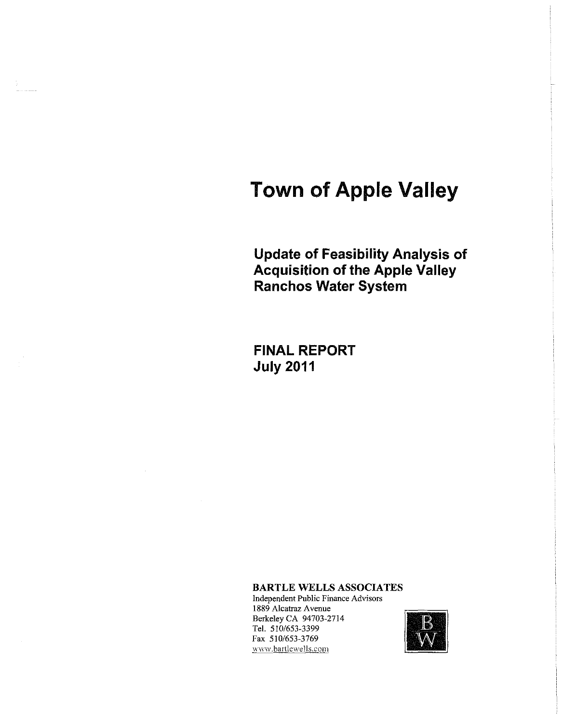# **Town of Apple Valley**

**Update of Feasibility Analysis of Acquisition of the Apple Valley Ranchos Water System** 

**FINAL REPORT July 2011** 

BARTLE WELLS ASSOCIATES

Independent Public Finance Advisors 1889 Alcatraz A venue Berkeley CA 94703-2714 Tel. 510/653-3399 Fax 510/653-3769 1889 Alcatraz Avenue<br>
Berkeley CA 94703-2714<br>
Tel. 510/653-3399<br>
Fax 510/653-3769<br>
www.bartlewells.com<br>
WWW.bartlewells.com

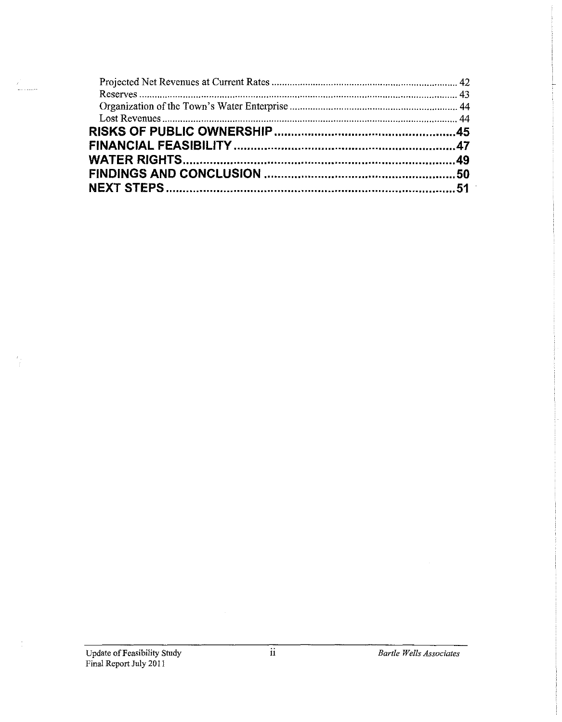$\frac{1}{2}$ 

 $\frac{L}{4}$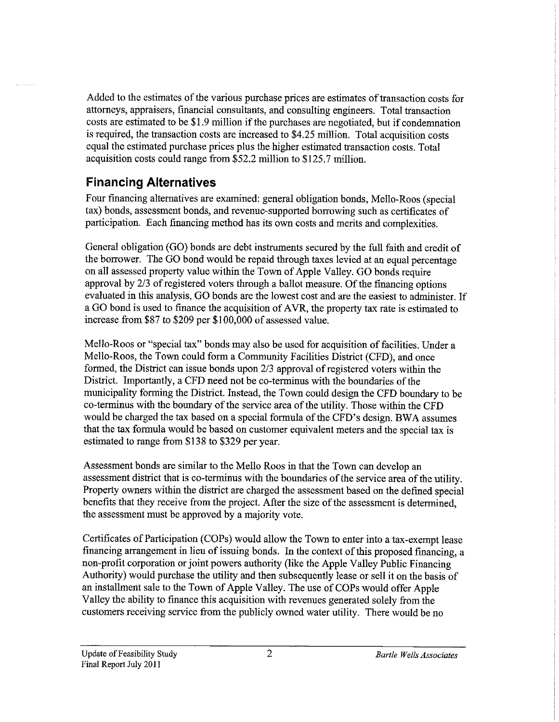Added to the estimates of the various purchase prices are estimates of transaction costs for attorneys, appraisers, financial consultants, and consulting engineers. Total transaction costs are estimated to be \$1.9 million if the purchases are negotiated, but if condemnation is required, the transaction costs are increased to \$4.25 million. Total acquisition costs equal the estimated purchase prices plus the higher estimated transaction costs. Total acquisition costs could range from \$52.2 million to \$125.7 million.

# **Financing Alternatives**

Four financing alternatives are examined: general obligation bonds, Mello-Roos (special tax) bonds, assessment bonds, and revenue-supported borrowing such as certificates of participation. Each financing method has its own costs and merits and complexities.

General obligation (GO) bonds are debt instruments secured by the full faith and credit of the borrower. The GO bond would be repaid through taxes levied at an equal percentage on all assessed property value within the Town of Apple Valley. GO bonds require approval by 2/3 of registered voters through a ballot measure. Of the financing options evaluated in this analysis, GO bonds are the lowest cost and are the easiest to administer. If a GO bond is used to finance the acquisition of A VR, the property tax rate is estimated to increase from \$87 to \$209 per \$100,000 of assessed value.

Mello-Roos or "special tax" bonds may also be used for acquisition of facilities. Under a Mello-Roos, the Town could form a Community Facilities District (CFD), and once formed, the District can issue bonds upon 2/3 approval of registered voters within the District. Importantly, a CFD need not be co-terminus with the boundaries of the municipality forming the District. Instead, the Town could design the CFD boundary to be co-terminus with the boundary of the service area of the utility. Those within the CFD would be charged the tax based on a special formula of the CFD's design. BWA assumes that the tax formula would be based on customer equivalent meters and the special tax is estimated to range from \$138 to \$329 per year.

Assessment bonds are similar to the Mello Roos in that the Town can develop an assessment district that is co-terminus with the boundaries of the service area of the utility. Property owners within the district are charged the assessment based on the defined special benefits that they receive from the project. After the size of the assessment is determined, the assessment must be approved by a majority vote.

Certificates of Participation (COPs) would allow the Town to enter into a tax-exempt lease financing arrangement in lieu of issuing bonds. In the context of this proposed financing, a non-profit corporation or joint powers authority (like the Apple Valley Public Financing Authority) would purchase the utility and then subsequently lease or sell it on the basis of an installment sale to the Town of Apple Valley. The use of COPs would offer Apple Valley the ability to finance this acquisition with revenues generated solely from the customers receiving service from the publicly owned water utility. There would be no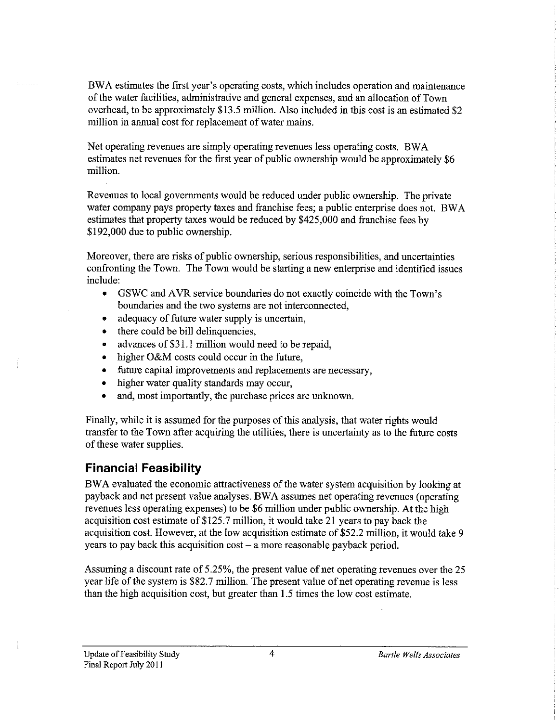BWA estimates the first year's operating costs, which includes operation and maintenance of the water facilities, administrative and general expenses, and an allocation of Town overhead, to be approximately \$13.5 million. Also included in this cost is an estimated \$2 million in annual cost for replacement of water mains.

Net operating revenues are simply operating revenues less operating costs. BW A estimates net revenues for the first year of public ownership would be approximately \$6 million.

Revenues to local governments would be reduced under public ownership. The private water company pays property taxes and franchise fees; a public enterprise does not. BW A estimates that property taxes would be reduced by \$425,000 and franchise fees by \$192,000 due to public ownership.

Moreover, there are risks of public ownership, serious responsibilities, and uncertainties confronting the Town. The Town would be starting a new enterprise and identified issues include:

- GSWC and AVR service boundaries do not exactly coincide with the Town's boundaries and the two systems are not interconnected,
- adequacy of future water supply is uncertain,
- there could be bill delinquencies,
- advances of \$31.1 million would need to be repaid,
- higher O&M costs could occur in the future,
- future capital improvements and replacements are necessary,
- higher water quality standards may occur,
- and, most importantly, the purchase prices are unknown.

Finally, while it is assumed for the purposes of this analysis, that water rights would transfer to the Town after acquiring the utilities, there is uncertainty as to the future costs of these water supplies.

#### **Financial Feasibility**

BW A evaluated the economic attractiveness of the water system acquisition by looking at payback and net present value analyses. BW A assumes net operating revenues ( operating revenues less operating expenses) to be \$6 million under public ownership. At the high acquisition cost estimate of\$125.7 million, it would take 21 years to pay back the acquisition cost. However, at the low acquisition estimate of \$52.2 million, it would take 9 years to pay back this acquisition  $cost - a$  more reasonable payback period.

Assuming a discount rate of 5 .25%, the present value of net operating revenues over the 25 year life of the system is \$82.7 million. The present value of net operating revenue is less than the high acquisition cost, but greater than 1.5 times the low cost estimate.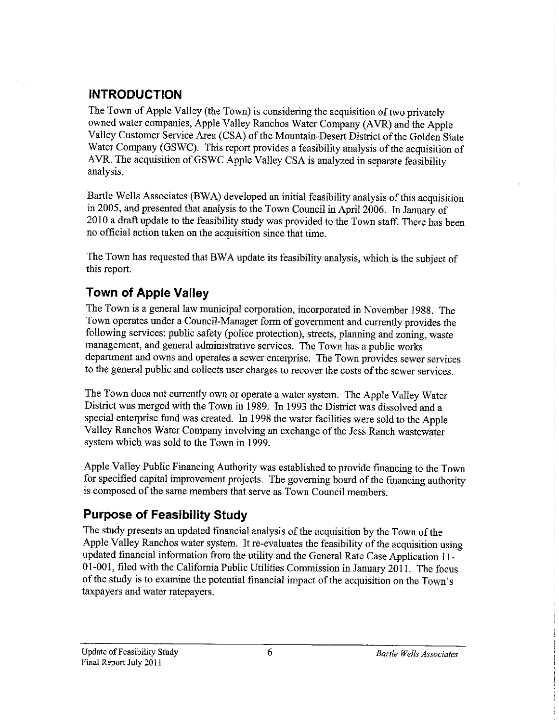# **INTRODUCTION**

The Town of Apple Valley (the Town) is considering the acquisition of two privately owned water companies, Apple Valley Ranchos Water Company (AVR) and the Apple Valley Customer Service Area (CSA) of the Mountain-Desert District of the Golden State Water Company (GSWC). This report provides a feasibility analysis of the acquisition of A VR. The acquisition of GSWC Apple Valley CSA is analyzed in separate feasibility analysis.

Bartle Wells Associates (BWA) developed an initial feasibility analysis of this acquisition in 2005, and presented that analysis to the Town Council in April 2006. In January of 2010 a draft update to the feasibility study was provided to the Town staff. There has been no official action taken on the acquisition since that time.

The Town has requested that BWA update its feasibility analysis, which is the subject of this report.

# **Town of Apple Valley**

The Town is a general law municipal corporation, incorporated in November 1988. The Town operates under a Council-Manager form of government and currently provides the following services: public safety (police protection), streets, planning and zoning, waste management, and general administrative services. The Town has a public works department and owns and operates a sewer enterprise. The Town provides sewer services to the general public and collects user charges to recover the costs of the sewer services.

The Town does not currently own or operate a water system. The Apple Valley Water District was merged with the Town in 1989. In 1993 the District was dissolved and a special enterprise fund was created. In 1998 the water facilities were sold to the Apple Valley Ranchos Water Company involving an exchange of the Jess Ranch wastewater system which was sold to the Town in 1999.

Apple Valley Public Financing Authority was established to provide financing to the Town for specified capital improvement projects. The governing board of the financing authority is composed of the same members that serve as Town Council members.

# **Purpose of Feasibility Study**

The study presents an updated financial analysis of the acquisition by the Town of the Apple Valley Ranchos water system. It re-evaluates the feasibility of the acquisition using updated financial information from the utility and the General Rate Case Application 11- 01-001, filed with the California Public Utilities Commission in January 2011. The focus of the study is to examine the potential financial impact of the acquisition on the Town's taxpayers and water ratepayers.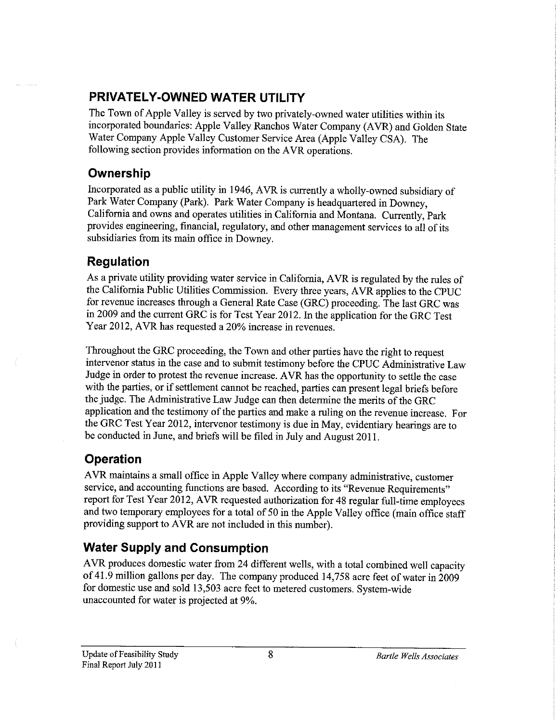### **PRIVATELY-OWNED WATER UTILITY**

The Town of Apple Valley is served by two privately-owned water utilities within its incorporated boundaries: Apple Valley Ranchos Water Company (A VR) and Golden State Water Company Apple Valley Customer Service Area (Apple Valley CSA). The following section provides information on the AVR operations.

#### **Ownership**

Incorporated as a public utility in 1946, A VR is currently a wholly-owned subsidiary of Park Water Company (Park). Park Water Company is headquartered in Downey, California and owns and operates utilities in California and Montana. Currently, Park provides engineering, financial, regulatory, and other management services to all of its subsidiaries from its main office in Downey.

### **Regulation**

As a private utility providing water service in California, A VR is regulated by the rules of the California Public Utilities Commission. Every three years, A VR applies to the CPUC for revenue increases through a General Rate Case (GRC) proceeding. The last GRC was in 2009 and the current GRC is for Test Year 2012. In the application for the GRC Test Year 2012, AYR has requested a 20% increase in revenues.

Throughout the GRC proceeding, the Town and other parties have the right to request intervenor status in the case and to submit testimony before the CPUC Administrative Law Judge in order to protest the revenue increase. A VR has the opportunity to settle the case with the parties, or if settlement cannot be reached, parties can present legal briefs before the judge. The Administrative Law Judge can then determine the merits of the GRC application and the testimony of the parties and make a ruling on the revenue increase. For the GRC Test Year 2012, intervenor testimony is due in May, evidentiary hearings are to be conducted in June, and briefs will be filed in July and August 2011.

#### **Operation**

A VR maintains a small office in Apple Valley where company administrative, customer service, and accounting functions are based. According to its "Revenue Requirements" report for Test Year 2012, AYR requested authorization for 48 regular full-time employees and two temporary employees for a total of 50 in the Apple Valley office (main office staff providing support to AVR are not included in this number).

# **Water Supply and Consumption**

AVR produces domestic water from 24 different wells, with a total combined well capacity of 41.9 million gallons per day. The company produced 14,758 acre feet of water in 2009 for domestic use and sold 13,503 acre feet to metered customers. System-wide unaccounted for water is projected at 9%.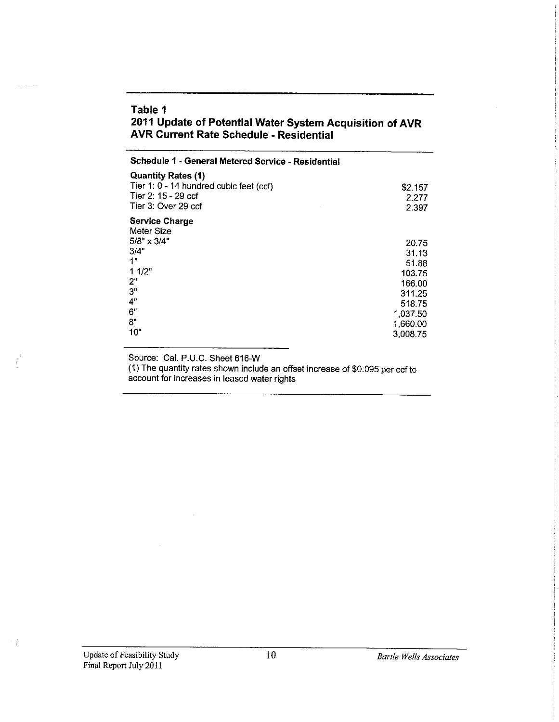#### **Table 1 2011 Update of Potential Water System Acquisition of AVR AVR Current Rate Schedule - Residential**

| Schedule 1 - General Metered Service - Residential                                                                                |                                                                                         |
|-----------------------------------------------------------------------------------------------------------------------------------|-----------------------------------------------------------------------------------------|
| <b>Quantity Rates (1)</b><br>Tier 1: 0 - 14 hundred cubic feet (ccf)<br>Tier 2: 15 - 29 ccf<br>Tier 3: Over 29 ccf                | \$2.157<br>2.277<br>2.397                                                               |
| <b>Service Charge</b><br>Meter Size<br>$5/8" \times 3/4"$<br>3/4"<br>1 <sup>n</sup><br>11/2"<br>2"<br>3"<br>4"<br>6"<br>8"<br>10" | 20.75<br>31.13<br>51.88<br>103.75<br>166.00<br>311.25<br>518.75<br>1,037.50<br>1,660.00 |
|                                                                                                                                   | 3,008.75                                                                                |

Source: Cal. P.U.C. Sheet 616-W

 $\mathcal{L}_{\mathcal{A}}$ 

(1) The quantity rates shown include an offset increase of \$0.095 per ccf to account for increases in leased water rights

 $\rightarrow$  (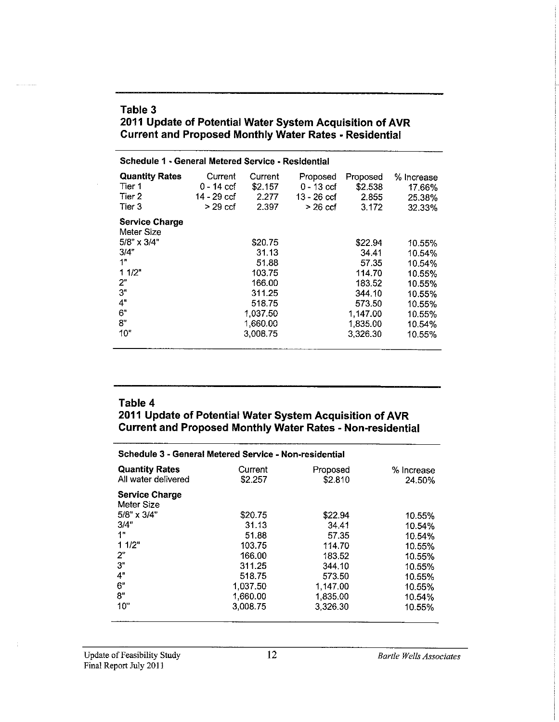#### **Table 3 2011 Update of Potential Water System Acquisition of AVR Current and Proposed Monthly Water Rates • Residential**

| Schedule 1 - General Metered Service - Residential                                                                   |                                                   |                                                                                                       |                                                       |                                                                                                       |                                                                                                  |
|----------------------------------------------------------------------------------------------------------------------|---------------------------------------------------|-------------------------------------------------------------------------------------------------------|-------------------------------------------------------|-------------------------------------------------------------------------------------------------------|--------------------------------------------------------------------------------------------------|
| <b>Quantity Rates</b><br>Tier 1<br>Tier 2<br>Tier 3                                                                  | Current<br>0 - 14 ccf<br>14 - 29 ccf<br>$>29$ ccf | Current<br>\$2.157<br>2.277<br>2.397                                                                  | Proposed<br>$0 - 13$ ccf<br>13 - 26 ccf<br>$>$ 26 ccf | Proposed<br>\$2.538<br>2.855<br>3.172                                                                 | % Increase<br>17.66%<br>25.38%<br>32.33%                                                         |
| <b>Service Charge</b><br>Meter Size<br>$5/8" \times 3/4"$<br>3/4"<br>1"<br>11/2<br>2"<br>3"<br>4"<br>6"<br>8"<br>10" |                                                   | \$20.75<br>31.13<br>51.88<br>103.75<br>166.00<br>311.25<br>518.75<br>1,037.50<br>1,660.00<br>3,008.75 |                                                       | \$22.94<br>34.41<br>57.35<br>114.70<br>183.52<br>344.10<br>573.50<br>1,147.00<br>1,835.00<br>3,326.30 | 10.55%<br>10.54%<br>10.54%<br>10.55%<br>10.55%<br>10.55%<br>10.55%<br>10.55%<br>10.54%<br>10.55% |

#### **Table 4**

**2011 Update of Potential Water System Acquisition of AVR Current and Proposed Monthly Water Rates • Non-residential** 

| Schedule 3 - General Metered Service - Non-residential |                    |                     |                      |  |
|--------------------------------------------------------|--------------------|---------------------|----------------------|--|
| <b>Quantity Rates</b><br>All water delivered           | Current<br>\$2.257 | Proposed<br>\$2.810 | % Increase<br>24.50% |  |
| <b>Service Charge</b><br>Meter Size                    |                    |                     |                      |  |
| $5/8" \times 3/4"$                                     | \$20.75            | \$22.94             | 10.55%               |  |
| 3/4"                                                   | 31.13              | 34.41               | 10.54%               |  |
| 1"                                                     | 51.88              | 57 35               | 10.54%               |  |
| 1 1/2"                                                 | 103.75             | 114.70              | 10.55%               |  |
| 2"                                                     | 166.00             | 183.52              | 10.55%               |  |
| 3"                                                     | 311.25             | 344.10              | 10.55%               |  |
| 4"                                                     | 518.75             | 573.50              | 10.55%               |  |
| 6"                                                     | 1.037.50           | 1,147.00            | 10.55%               |  |
| 8"                                                     | 1,660.00           | 1,835.00            | 10.54%               |  |
| 10"                                                    | 3,008.75           | 3,326.30            | 10.55%               |  |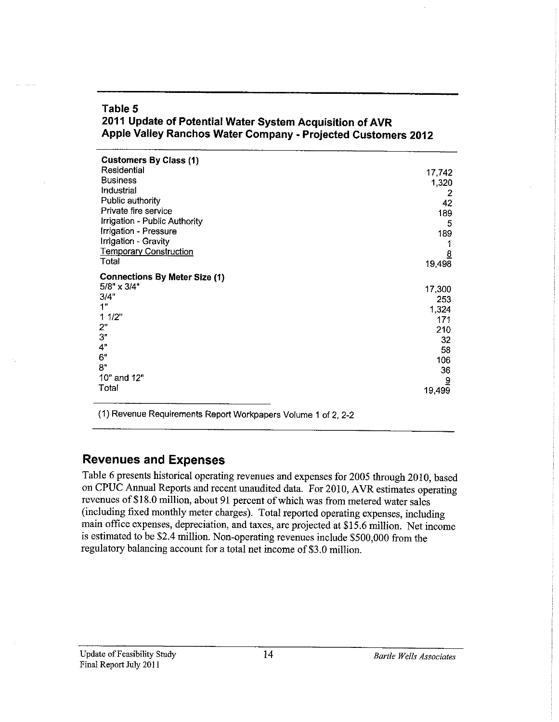| 2011 Update of Potential Water System Acquisition of AVR<br>Apple Valley Ranchos Water Company - Projected Customers 2012 |               |  |
|---------------------------------------------------------------------------------------------------------------------------|---------------|--|
| <b>Customers By Class (1)</b><br>Residential                                                                              | 17.742        |  |
| Ruginace                                                                                                                  | $\lambda$ 000 |  |

|                                                            | 17.74Z         |
|------------------------------------------------------------|----------------|
| <b>Business</b>                                            | 1,320          |
| Industrial                                                 | 2              |
| Public authority                                           | 42             |
| Private fire service                                       | 189            |
| Irrigation - Public Authority                              | 5              |
| Irrigation - Pressure                                      | 189            |
| Irrigation - Gravity                                       |                |
| <b>Temporary Construction</b>                              | $\overline{8}$ |
| Total                                                      | 19,498         |
|                                                            |                |
| <b>Connections By Meter Size (1)</b><br>$5/8" \times 3/4"$ |                |
|                                                            | 17,300         |
| 3/4"<br>1"                                                 | 253            |
|                                                            | 1,324          |
| 11/2"                                                      | 171            |
| 2"                                                         | 210            |
| 3"                                                         | 32             |
| 4"                                                         | 58             |
| 6"                                                         | 106            |
| 8"                                                         | 36             |
| 10" and 12"                                                | $\overline{a}$ |
| Total                                                      | 19,499         |
|                                                            |                |

(1) Revenue Requirements Report Workpapers Volume 1 of 2, 2-2

# **Revenues and Expenses**

**Table 5** 

Table 6 presents historical operating revenues and expenses for 2005 through 2010, based on CPUC Annual Reports and recent unaudited data. For 2010, AVR estimates operating revenues of\$18.0 million, about 91 percent of which was from metered water sales (including fixed monthly meter charges). Total reported operating expenses, including main office expenses, depreciation, and taxes, are projected at \$15.6 million. Net income is estimated to be \$2.4 million. Non-operating revenues include \$500,000 from the regulatory balancing account for a total net income of \$3 .0 million.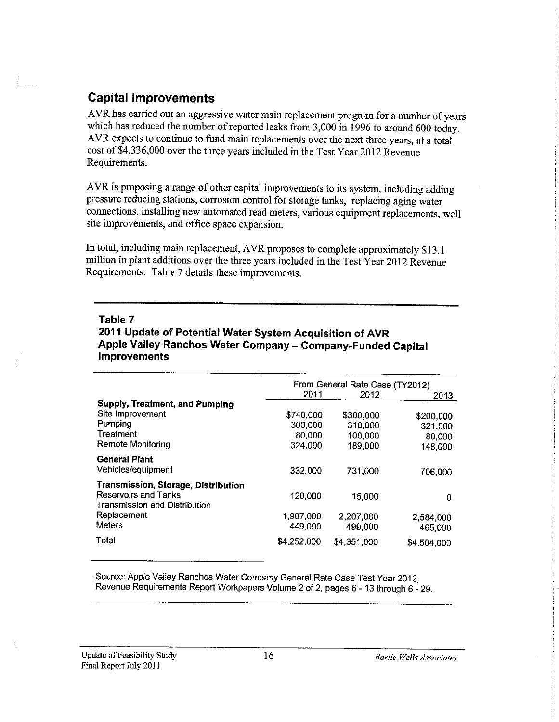#### **Capital Improvements**

AVR has carried out an aggressive water main replacement program for a number of years which has reduced the number of reported leaks from 3,000 in 1996 to around 600 today. AVR expects to continue to fund main replacements over the next three years, at a total cost of \$4,336,000 over the three years included in the Test Year 2012 Revenue Requirements.

AVR is proposing a range of other capital improvements to its system, including adding pressure reducing stations, corrosion control for storage tanks, replacing aging water connections, installing new automated read meters, various equipment replacements, well site improvements, and office space expansion.

In total, including main replacement, AYR proposes to complete approximately \$13.1 million in plant additions over the three years included in the Test Year 2012 Revenue Requirements. Table 7 details these improvements.

#### **Table 7**

**2011 Update of Potential Water System Acquisition of AVR Apple Valley Ranchos Water Company - Company-Funded Capital Improvements** 

|                                     | From General Rate Case (TY2012) |             |             |  |
|-------------------------------------|---------------------------------|-------------|-------------|--|
|                                     | 2011<br>2012                    |             |             |  |
|                                     |                                 |             | 2013        |  |
| Supply, Treatment, and Pumping      |                                 |             |             |  |
| Site Improvement                    | \$740,000                       | \$300,000   | \$200,000   |  |
| Pumping                             | 300,000                         | 310,000     | 321,000     |  |
| Treatment                           | 80,000                          | 100,000     | 80,000      |  |
| Remote Monitoring                   | 324.000                         | 189.000     | 148,000     |  |
| <b>General Plant</b>                |                                 |             |             |  |
| Vehicles/equipment                  | 332,000                         | 731.000     | 706,000     |  |
| Transmission, Storage, Distribution |                                 |             |             |  |
| Reservoirs and Tanks                | 120,000                         | 15,000      | 0           |  |
| Transmission and Distribution       |                                 |             |             |  |
| Replacement                         | 1.907.000                       | 2.207.000   | 2.584.000   |  |
| <b>Meters</b>                       | 449,000                         | 499,000     | 465,000     |  |
| Total                               | \$4,252,000                     | \$4,351,000 |             |  |
|                                     |                                 |             | \$4,504,000 |  |

Source: Apple Valley Ranchos Water Company General Rate Case Test Year 2012, Revenue Requirements Report Workpapers Volume 2 of 2, pages 6 - 13 through 6 - 29.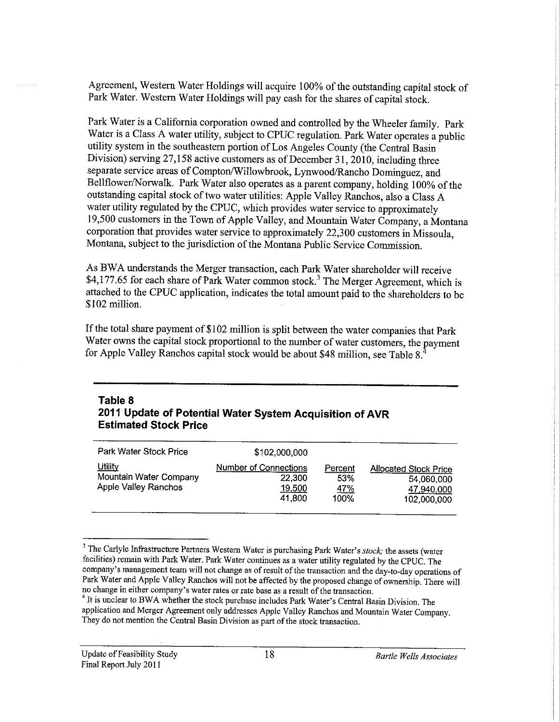Agreement, Western Water Holdings will acquire I 00% of the outstanding capital stock of Park Water. Western Water Holdings will pay cash for the shares of capital stock.

Park Water is a California corporation owned and controlled by the Wheeler family. Park Water is a Class A water utility, subject to CPUC regulation. Park Water operates a public utility system in the southeastern portion of Los Angeles County (the Central Basin Division) serving 27,158 active customers as of December 31, 2010, including three separate service areas of Compton/Willowbrook, Lynwood/Rancho Dominguez, and Bellflower/Norwalk. Park Water also operates as a parent company, holding 100% of the outstanding capital stock of two water utilities: Apple Valley Ranchos, also a Class A water utility regulated by the CPUC, which provides water service to approximately 19,500 customers in the Town of Apple Valley, and Mountain Water Company, a Montana corporation that provides water service to approximately 22,300 customers in Missoula, Montana, subject to the jurisdiction of the Montana Public Service Commission.

As BWA understands the Merger transaction, each Park Water shareholder will receive \$4,177.65 for each share of Park Water common stock.<sup>3</sup> The Merger Agreement, which is attached to the CPUC application, indicates the total amount paid to the shareholders to be \$102 million.

If the total share payment of \$102 million is split between the water companies that Park Water owns the capital stock proportional to the number of water customers, the payment for Apple Valley Ranchos capital stock would be about \$48 million, see Table 8.

#### **Table 8 2011 Update of Potential Water System Acquisition of AVR Estimated Stock Price**

| Park Water Stock Price                                                  | \$102,000,000                                              |                                      |                                                                         |
|-------------------------------------------------------------------------|------------------------------------------------------------|--------------------------------------|-------------------------------------------------------------------------|
| <u>Utility</u><br>Mountain Water Company<br><b>Apple Valley Ranchos</b> | <b>Number of Connections</b><br>22,300<br>19,500<br>41.800 | Percent<br>53%<br><u>47%</u><br>100% | <b>Allocated Stock Price</b><br>54,060,000<br>47,940,000<br>102,000,000 |

<sup>3</sup> The Carlyle Infrastructure Partners Western Water is purchasing Park Water's *stock;* the assets (water facilities) remain with Park Water. Park Water continues as a water utility regulated by the CPUC. The **company's management team will not change as of result of the transaction and the day-to-day operations of**  Park Water and Apple Valley Ranchos will not be affected by the proposed change of ownership. There will **no change in either company's water rates or rate base as a result of the transaction.** 

 $<sup>4</sup>$  It is unclear to BWA whether the stock purchase includes Park Water's Central Basin Division. The</sup> application and Merger Agreement only addresses Apple Valley Ranchos and Mountain Water Company. **They do not mention the Central Basin Division as part of the stock transaction.**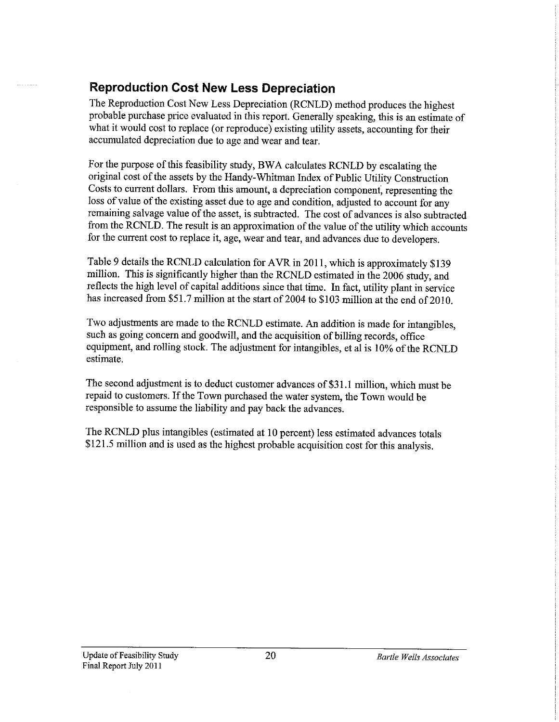# **Reproduction Cost New Less Depreciation**

The Reproduction Cost New Less Depreciation (RCNLD) method produces the highest probable purchase price evaluated in this report. Generally speaking, this is an estimate of what it would cost to replace (or reproduce) existing utility assets, accounting for their accumulated depreciation due to age and wear and tear.

For the purpose of this feasibility study, BWA calculates RCNLD by escalating the original cost of the assets by the Handy-Whitman Index of Public Utility Construction Costs to current dollars. From this amount, a depreciation component; representing the loss of value of the existing asset due to age and condition, adjusted to account for any remaining salvage value of the asset, is subtracted. The cost of advances is also subtracted from the RCNLD. The result is an approximation of the value of the utility which accounts for the current cost to replace it, age, wear and tear, and advances due to developers.

Table 9 details the RCNLD calculation for AVR in 2011, which is approximately \$139 million. This is significantly higher than the RCNLD estimated in the 2006 study, and reflects the high level of capital additions since that time. In fact, utility plant in service has increased from \$51.7 million at the start of 2004 to \$103 million at the end of 2010.

Two adjustments are made to the RCNLD estimate. An addition is made for intangibles, such as going concern and goodwill, and the acquisition of billing records, office equipment, and rolling stock. The adjustment for intangibles, et al is 10% of the RCNLD estimate.

The second adjustment is to deduct customer advances of \$31.1 million, which must be repaid to customers. If the Town purchased the water system, the Town would be responsible to assume the liability and pay back the advances.

The RCNLD plus intangibles ( estimated at IO percent) less estimated advances totals \$121.5 million and is used as the highest probable acquisition cost for this analysis.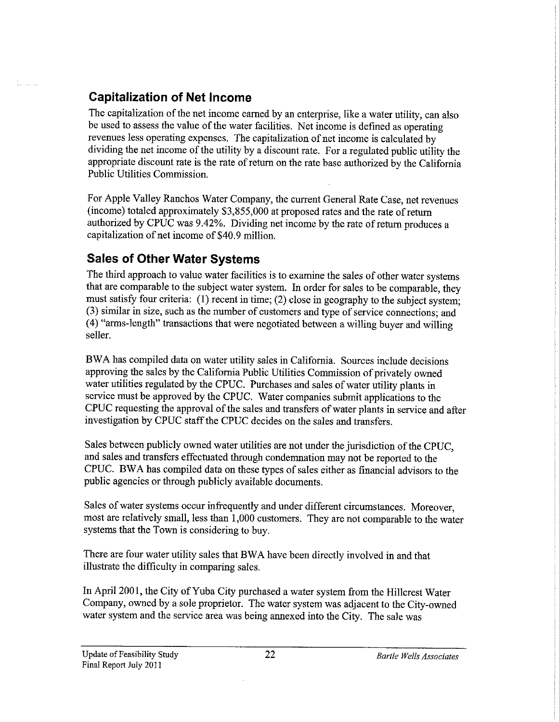# **Capitalization of Net Income**

The capitalization of the net income earned by an enterprise, like a water utility, can also be used to assess the value of the water facilities. Net income is defined as operating revenues less operating expenses. The capitalization of net income is calculated by dividing the net income of the utility by a discount rate. For a regulated public utility the appropriate discount rate is the rate of return on the rate base authorized by the California Public Utilities Commission.

For Apple Valley Ranchos Water Company, the current General Rate Case, net revenues (income) totaled approximately  $$3,855,000$  at proposed rates and the rate of return authorized by CPUC was 9.42%. Dividing net income by the rate of return produces a capitalization of net income of \$40.9 million.

# **Sales of Other Water Systems**

The third approach to value water facilities is to examine the sales of other water systems that are comparable to the subject water system. In order for sales to be comparable, they must satisfy four criteria: (I) recent in time; (2) close in geography to the subject system; (3) similar in size, such as the number of customers and type of service connections; and (4) "arms-length" transactions that were negotiated between a willing buyer and willing seller.

BW A has compiled data on water utility sales in California. Sources include decisions approving the sales by the California Public Utilities Commission of privately owned water utilities regulated by the CPUC. Purchases and sales of water utility plants in service must be approved by the CPUC. Water companies submit applications to the CPUC requesting the approval of the sales and transfers of water plants in service and after investigation by CPUC staff the CPUC decides on the sales and transfers.

Sales between publicly owned water utilities are not under the jurisdiction of the CPUC, and sales and transfers effectuated through condemnation may not be reported to the CPUC. BW A has compiled data on these types of sales either as financial advisors to the public agencies or through publicly available documents.

Sales of water systems occur infrequently and under different circumstances. Moreover, most are relatively small, less than 1,000 customers. They are not comparable to the water systems that the Town is considering to buy.

There are four water utility sales that BW A have been directly involved in and that illustrate the difficulty in comparing sales.

In April 2001, the City of Yuba City purchased a water system from the Hillcrest Water Company, owned by a sole proprietor. The water system was adjacent to the City-owned water system and the service area was being annexed into the City. The sale was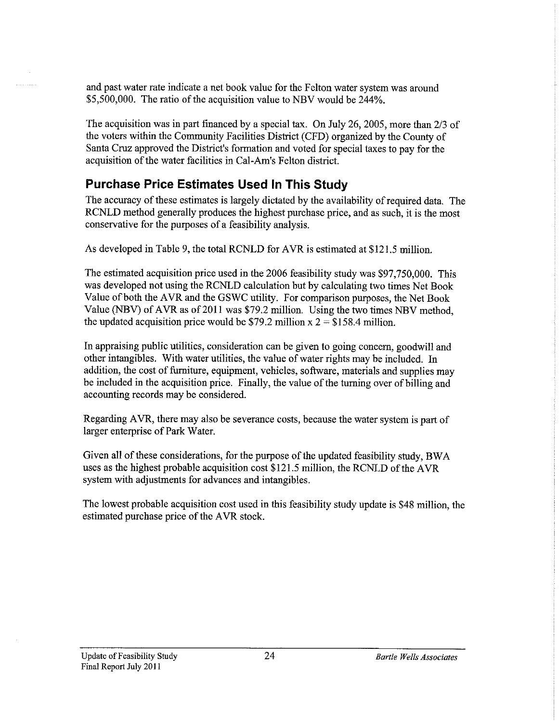and past water rate indicate a net book value for the Felton water system was around \$5,500,000. The ratio of the acquisition value to NBV would be 244%.

The acquisition was in part financed by a special tax. On July 26, 2005, more than 2/3 of the voters within the Community Facilities District (CFD) organized by the County of Santa Cruz approved the District's formation and voted for special taxes to pay for the acquisition of the water facilities in Cal-Am's Felton district.

### **Purchase Price Estimates Used In This Study**

The accuracy of these estimates is largely dictated by the availability of required data. The RCNLD method generally produces the highest purchase price, and as such, it is the most conservative for the purposes of a feasibility analysis.

As developed in Table 9, the total RCNLD for AVR is estimated at \$121.5 million.

The estimated acquisition price used in the 2006 feasibility study was \$97,750,000. This was developed not using the RCNLD calculation but by calculating two times Net Book Value of both the AVR and the GSWC utility. For comparison purposes, the Net Book Value (NBV) of AVR as of 2011 was \$79.2 million. Using the two times NBV method. the updated acquisition price would be \$79.2 million  $x = 158.4$  million.

In appraising public utilities, consideration can be given to going concern, goodwill and other intangibles. With water utilities, the value of water rights may be included. In addition, the cost of furniture, equipment, vehicles, software, materials and supplies may be included in the acquisition price. Finally, the value of the turning over of billing and accounting records may be considered.

Regarding AVR, there may also be severance costs, because the water system is part of larger enterprise of Park Water.

Given all of these considerations, for the purpose of the updated feasibility study, BWA uses as the highest probable acquisition cost \$121.5 million, the RCNLD of the AVR system with adjustments for advances and intangibles.

The lowest probable acquisition cost used in this feasibility study update is \$48 million, the estimated purchase price of the A VR stock.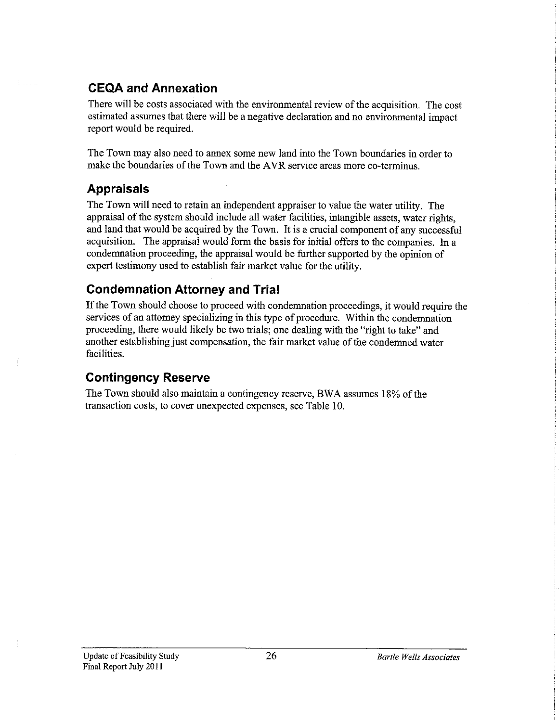### **CEQA and Annexation**

There will be costs associated with the environmental review of the acquisition. The cost estimated assumes that there will be a negative declaration and no environmental impact report would be required.

The Town may also need to annex some new land into the Town boundaries in order to make the boundaries of the Town and the AVR service areas more co-terminus.

### **Appraisals**

The Town will need to retain an independent appraiser to value the water utility. The appraisal of the system should include all water facilities, intangible assets, water rights, and land that would be acquired by the Town. It is a crucial component of any successful acquisition. The appraisal would form the basis for initial offers to the companies. In a condemnation proceeding, the appraisal would be further supported by the opinion of expert testimony used to establish fair market value for the utility.

### **Condemnation Attorney and Trial**

If the Town should choose to proceed with condemnation proceedings, it would require the services of an attorney specializing in this type of procedure. Within the condemnation proceeding, there would likely be two trials; one dealing with the "right to take" and another establishing just compensation, the fair market value of the condemned water facilities.

#### **Contingency Reserve**

The Town should also maintain a contingency reserve, BWA assumes 18% of the transaction costs, to cover unexpected expenses, see Table 10.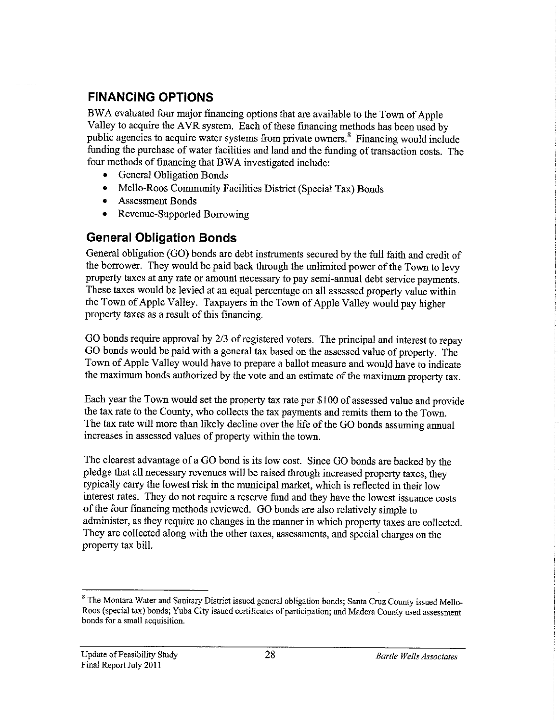# **FINANCING OPTIONS**

BW A evaluated four major fmancing options that are available to the Town of Apple Valley to acquire the AVR system. Each of these financing methods has been used by public agencies to acquire water systems from private owners. 8 Financing would include funding the purchase of water facilities and land and the funding of transaction costs. The four methods of financing that BWA investigated include:

- General Obligation Bonds
- Mello-Roos Community Facilities District (Special Tax) Bonds
- Assessment Bonds
- Revenue-Supported Borrowing

#### **General Obligation Bonds**

General obligation (GO) bonds are debt instruments secured by the full faith and credit of the borrower. They would be paid back through the unlimited power of the Town to levy property taxes at any rate or amount necessary to pay semi-annual debt service payments. These taxes would be levied at an equal percentage on all assessed property value within the Town of Apple Valley. Taxpayers in the Town of Apple Valley would pay higher property taxes as a result of this financing.

GO bonds require approval by 2/3 of registered voters. The principal and interest to repay GO bonds would be paid with a general tax based on the assessed value of property. The Town of Apple Valley would have to prepare a ballot measure and would have to indicate the maximum bonds authorized by the vote and an estimate of the maximum property tax.

Each year the Town would set the property tax rate per \$100 of assessed value and provide the tax rate to the County, who collects the tax payments and remits them to the Town. The tax rate will more than likely decline over the life of the GO bonds assuming annual increases in assessed values of property within the town.

The clearest advantage of a GO bond is its low cost. Since GO bonds are backed by the pledge that all necessary revenues will be raised through increased property taxes, they typically carry the lowest risk in the municipal market, which is reflected in their low interest rates. They do not require a reserve fund and they have the lowest issuance costs of the four fmancing methods reviewed. GO bonds are also relatively simple to administer, as they require no changes in the manner in which property taxes are collected. They are collected along with the other taxes, assessments, and special charges on the property tax bill.

<sup>&</sup>lt;sup>8</sup> The Montara Water and Sanitary District issued general obligation bonds; Santa Cruz County issued Mello-Roos (special tax) bonds; Yuba City issued certificates of participation; and Madera County used assessment **bonds for a small acquisition.**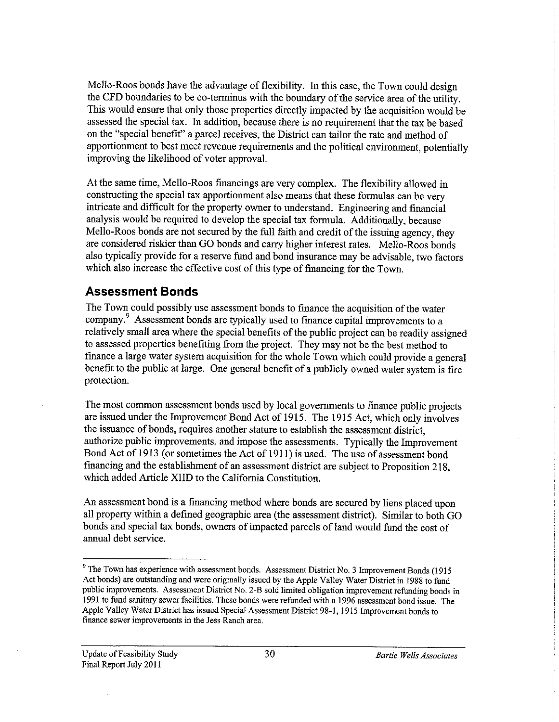Mello-Roos bonds have the advantage of flexibility. In this case, the Town could design the CFD boundaries to be co-terminus with the boundary of the service area of the utility. This would ensure that only those properties directly impacted by the acquisition would be assessed the special tax. In addition, because there is no requirement that the tax be based on the "special benefit" a parcel receives, the District can tailor the rate and method of apportionment to best meet revenue requirements and the political environment, potentially improving the likelihood of voter approval.

At the same time, Mello-Roos financings are very complex. The flexibility allowed in constructing the special tax apportionment also means that these formulas can be very intricate and difficult for the property owner to understand. Engineering and financial analysis would be required to develop the special tax formula. Additionally, because Mello-Roos bonds are not secured by the full faith and credit of the issuing agency, they are considered riskier than GO bonds and carry higher interest rates. Mello-Roos bonds also typically provide for a reserve fund and bond insurance may be advisable, two factors which also increase the effective cost of this type of financing for the Town.

#### **Assessment Bonds**

The Town could possibly use assessment bonds to finance the acquisition of the water company. 9 Assessment bonds are typically used to finance capital improvements to a relatively small area where the special benefits of the public project can be readily assigned to assessed properties benefiting from the project. They may not be the best method to finance a large water system acquisition for the whole Town which could provide a general benefit to the public at large. One general benefit of a publicly owned water system is fire protection.

The most common assessment bonds used by local governments to finance public projects are issued under the Improvement Bond Act of 1915. The 1915 Act, which only involves the issuance of bonds, requires another stature to establish the assessment district, authorize public improvements, and impose the assessments. Typically the Improvement Bond Act of 1913 (or sometimes the Act of 1911) is used. The use of assessment bond financing and the establishment of an assessment district are subject to Proposition 218, which added Article XIID to the California Constitution.

An assessment bond is a financing method where bonds are secured by liens placed upon all property within a defined geographic area (the assessment district). Similar to both GO bonds and special tax bonds, owners of impacted parcels of land would fund the cost of annual debt service.

<sup>&</sup>lt;sup>9</sup> The Town has experience with assessment bonds. Assessment District No. 3 Improvement Bonds (1915) Act bonds) are outstanding and were originally issued by the Apple Valley Water District in 1988 to fund **public improvements. Assessment District No. 2-B sold limited obligation improvement refunding bonds in**  1991 to fund sanitary sewer facilities. These bonds were refunded with a 1996 assessment bond issue. The Apple Valley Water District has issued Special Assessment District 98-1, 1915 Improvement bonds to **finance sewer improvements in the Jess Ranch area.**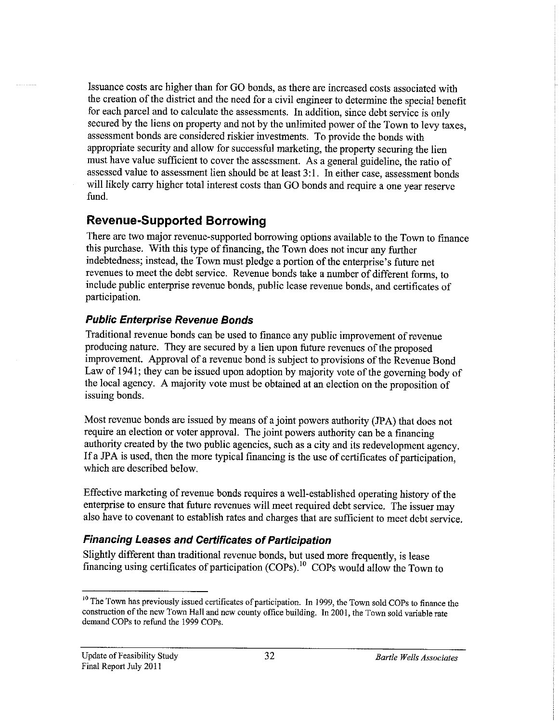Issuance costs are higher than for GO bonds, as there are increased costs associated with the creation of the district and the need for a civil engineer to determine the special benefit for each parcel and to calculate the assessments. In addition, since debt service is only secured by the liens on property and not by the unlimited power of the Town to levy taxes, assessment bonds are considered riskier investments. To provide the bonds with appropriate security and allow for successful marketing, the property securing the lien must have value sufficient to cover the assessment. As a general guideline, the ratio of assessed value to assessment lien should be at least 3:1. In either case, assessment bonds will likely carry higher total interest costs than GO bonds and require a one year reserve fund.

### **Revenue-Supported Borrowing**

There are two major revenue-supported borrowing options available to the Town to finance this purchase. With this type of financing, the Town does not incur any further indebtedness; instead, the Town must pledge a portion of the enterprise's future net revenues to meet the debt service. Revenue bonds take a number of different forms, to include public enterprise revenue bonds, public lease revenue bonds, and certificates of participation.

#### **Public Enterprise Revenue Bonds**

Traditional revenue bonds can be used to finance any public improvement of revenue producing nature. They are secured by a lien upon future revenues of the proposed improvement. Approval of a revenue bond is subject to provisions of the Revenue Bond Law of 1941; they can be issued upon adoption by majority vote of the governing body of the local agency. A majority vote must be obtained at an election on the proposition of issuing bonds.

Most revenue bonds are issued by means of a joint powers authority (JPA) that does not require an election or voter approval. The joint powers authority can be a financing authority created by the two public agencies, such as a city and its redevelopment agency. If a JPA is used, then the more typical financing is the use of certificates of participation, which are described below.

Effective marketing of revenue bonds requires a well-established operating history of the enterprise to ensure that future revenues will meet required debt service. The issuer may also have to covenant to establish rates and charges that are sufficient to meet debt service.

#### **Financing Leases and Certificates of Participation**

Slightly different than traditional revenue bonds, but used more frequently, is lease financing using certificates of participation (COPs). 10 COPs would allow the Town to

<sup>&</sup>lt;sup>10</sup> The Town has previously issued certificates of participation. In 1999, the Town sold COPs to finance the construction of the new Town Hall and new county office building. In 2001, the Town sold variable rate demand COPs to refund the 1999 COPs.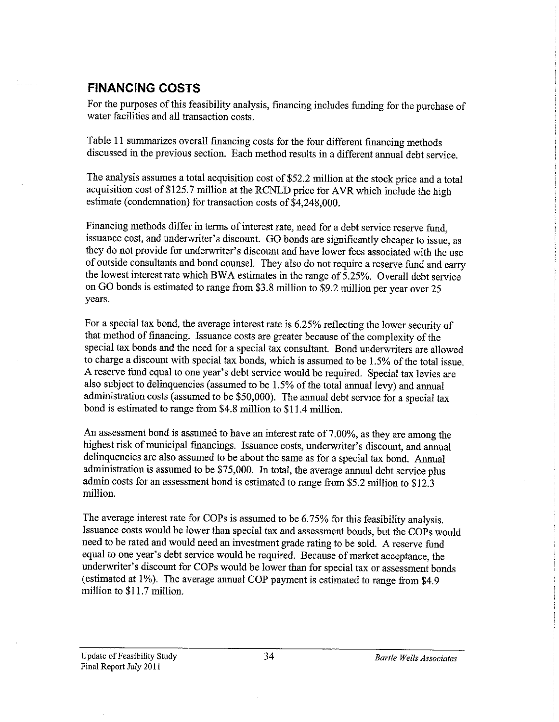### **FINANCING COSTS**

For the purposes of this feasibility analysis, financing includes funding for the purchase of water facilities and all transaction costs.

Table 11 summarizes overall financing costs for the four different financing methods discussed in the previous section. Each method results in a different annual debt service.

The analysis assumes a total acquisition cost of \$52.2 million at the stock price and a total acquisition cost of \$125.7 million at the RCNLD price for AVR which include the high estimate (condemnation) for transaction costs of \$4,248,000.

Financing methods differ in terms of interest rate, need for a debt service reserve fund, issuance cost, and underwriter's discount. GO bonds are significantly cheaper to issue, as they do not provide for underwriter's discount and have lower fees associated with the use of outside consultants and bond counsel. They also do not require a reserve fund and carry the lowest interest rate which BW A estimates in the range of 5.25%. Overall debt service on GO bonds is estimated to range from \$3.8 million to \$9.2 million per year over 25 years.

For a special tax bond, the average interest rate is 6.25% reflecting the lower security of that method of financing. Issuance costs are greater because of the complexity of the special tax bonds and the need for a special tax consultant. Bond underwriters are allowed to charge a discount with special tax bonds, which is assumed to be 1.5% of the total issue. A reserve fund equal to one year's debt service would be required. Special tax levies are also subject to delinquencies (assumed to be 1.5% of the total annual levy) and annual administration costs (assumed to be \$50,000). The annual debt service for a special tax bond is estimated to range from \$4.8 million to \$11.4 million.

An assessment bond is assumed to have an interest rate of 7.00%, as they are among the highest risk of municipal financings. Issuance costs, underwriter's discount, and annual delinquencies are also assumed to be about the same as for a special tax bond. Annual administration is assumed to be \$75,000. In total, the average annual debt service plus admin costs for an assessment bond is estimated to range from \$5.2 million to \$12.3 million.

The average interest rate for COPs is assumed to be 6. 75% for this feasibility analysis. Issuance costs would be lower than special tax and assessment bonds, but the COPs would need to be rated and would need an investment grade rating to be sold. A reserve fund equal to one year's debt service would be required. Because of market acceptance, the underwriter's discount for COPs would be lower than for special tax or assessment bonds (estimated at 1%). The average annual COP payment is estimated to range from \$4.9 million to \$11.7 million.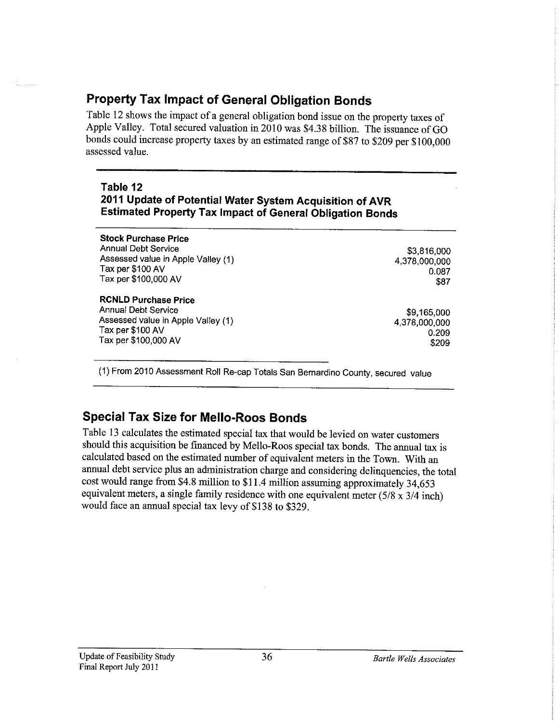# **Property Tax Impact of General Obligation Bonds**

Table 12 shows the impact of a general obligation bond issue on the property taxes of Apple Valley. Total secured valuation in 2010 was \$4.38 billion. The issuance of GO bonds could increase property taxes by an estimated range of \$87 to \$209 per \$100,000 assessed value.

#### **Table 12 2011 Update of Potential Water System Acquisition of AVR Estimated Property Tax Impact of General Obligation Bonds**

| <b>Stock Purchase Price</b>        |               |
|------------------------------------|---------------|
| <b>Annual Debt Service</b>         | \$3,816,000   |
| Assessed value in Apple Valley (1) | 4,378,000,000 |
| Tax per \$100 AV                   | 0.087         |
| Tax per \$100,000 AV               | \$87          |
| <b>RCNLD Purchase Price</b>        |               |
| <b>Annual Debt Service</b>         | \$9,165,000   |
| Assessed value in Apple Valley (1) | 4,378,000,000 |
| Tax per \$100 AV                   | 0.209         |
| Tax per \$100,000 AV               | \$209         |

(1) From 2010 Assessment Roll Re-cap Totals San Bernardino County, secured value

# **Special Tax Size for Mello-Roos Bonds**

Table 13 calculates the estimated special tax that would be levied on water customers should this acquisition be financed by Mello-Roos special tax bonds. The annual tax is calculated based on the estimated number of equivalent meters in the Town. With an annual debt service plus an administration charge and considering delinquencies, the total cost would range from \$4.8 million to \$11.4 million assuming approximately 34,653 equivalent meters, a single family residence with one equivalent meter  $(5/8 \times 3/4 \text{ inch})$ would face an annual special tax levy of \$138 to \$329.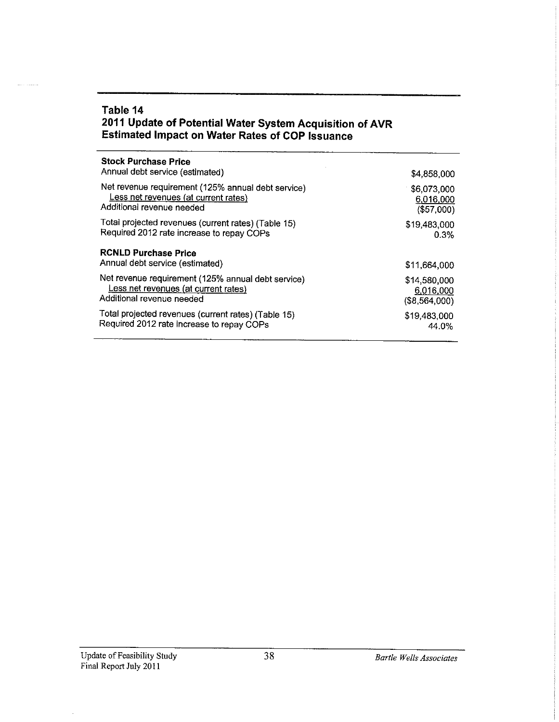#### **Table 14 2011 Update of Potential Water System Acquisition of AVR Estimated Impact on Water Rates of COP Issuance**

| <b>Stock Purchase Price</b><br>Annual debt service (estimated) | \$4,858,000      |
|----------------------------------------------------------------|------------------|
| Net revenue requirement (125% annual debt service)             | \$6,073,000      |
| Less net revenues (at current rates)                           | 6,016,000        |
| Additional revenue needed                                      | (\$57,000)       |
| Total projected revenues (current rates) (Table 15)            | \$19,483,000     |
| Required 2012 rate increase to repay COPs                      | 0.3%             |
| <b>RCNLD Purchase Price</b><br>Annual debt service (estimated) | \$11,664,000     |
| Net revenue requirement (125% annual debt service)             | \$14,580,000     |
| Less net revenues (at current rates)                           | 6,016,000        |
| Additional revenue needed                                      | $($ \$8,564,000) |
| Total projected revenues (current rates) (Table 15)            | \$19,483,000     |
| Required 2012 rate increase to repay COPs                      | 44.0%            |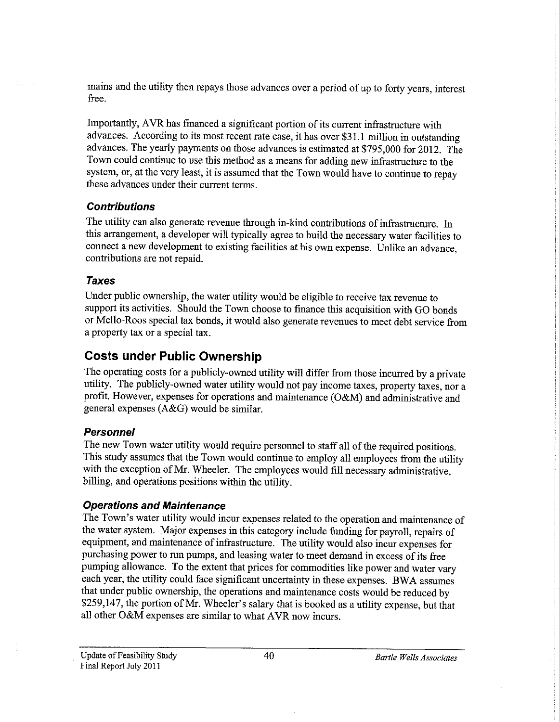mains and the utility then repays those advances over a period of up to forty years, interest free.

Importantly, AVR has financed a significant portion of its current infrastructure with advances. According to its most recent rate case, it has over \$31.1 million in outstanding advances. The yearly payments on those advances is estimated at \$795,000 for 2012. The Town could continue to use this method as a means for adding new infrastructure to the system, or, at the very least, it is assumed that the Town would have to continue to repay these advances under their current terms.

#### **Contributions**

The utility can also generate revenue through in-kind contributions of infrastructure. In this arrangement, a developer will typically agree to build the necessary water facilities to connect a new development to existing facilities at his own expense. Unlike an advance, contributions are not repaid.

#### **Taxes**

Under public ownership, the water utility would be eligible to receive tax revenue to support its activities. Should the Town choose to finance this acquisition with GO bonds or Mello-Roos special tax bonds, it would also generate revenues to meet debt service from a property tax or a special tax.

#### **Costs under Public Ownership**

The operating costs for a publicly-owned utility will differ from those incurred by a private utility. The publicly-owned water utility would not pay income taxes, property taxes, nor a profit. However, expenses for operations and maintenance (O&M) and administrative and general expenses (A&G) would be similar.

#### **Personnel**

The new Town water utility would require personnel to staff all of the required positions. This study assumes that the Town would continue to employ all employees from the utility with the exception of Mr. Wheeler. The employees would fill necessary administrative, billing, and operations positions within the utility.

#### **Operations and Maintenance**

The Town's water utility would incur expenses related to the operation and maintenance of the water system. Major expenses in this category include funding for payroll, repairs of equipment, and maintenance of infrastructure. The utility would also incur expenses for purchasing power to run pumps, and leasing water to meet demand in excess of its free pumping allowance. To the extent that prices for commodities like power and water vary each year, the utility could face significant uncertainty in these expenses. BWA assumes that under public ownership, the operations and maintenance costs would be reduced by \$259,147, the portion of Mr. Wheeler's salary that is booked as a utility expense, but that all other O&M expenses are similar to what AVR now incurs.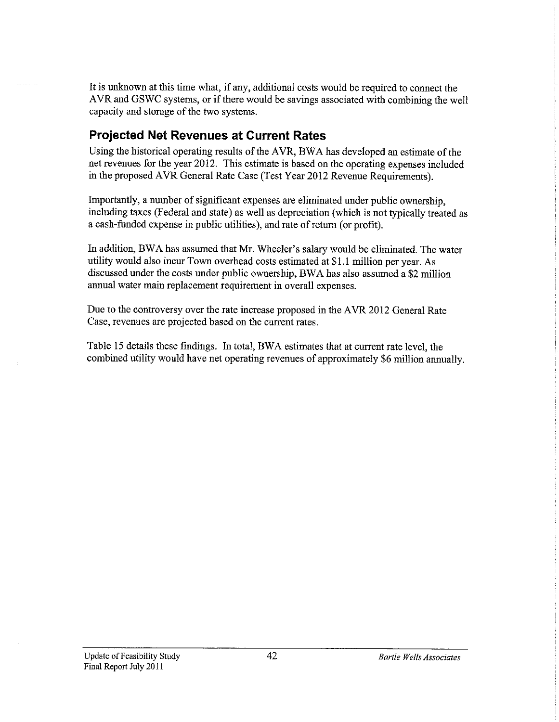It is unknown at this time what, if any, additional costs would be required to connect the AVR and GSWC systems, or if there would be savings associated with combining the well capacity and storage of the two systems.

#### **Projected Net Revenues at Current Rates**

Using the historical operating results of the AVR, BWA has developed an estimate of the net revenues for the year 2012. This estimate is based on the operating expenses included in the proposed AVR General Rate Case (Test Year 2012 Revenue Requirements).

Importantly, a number of significant expenses are eliminated under public ownership, including taxes (Federal and state) as well as depreciation (which is not typically treated as a cash-funded expense in public utilities), and rate of return ( or profit).

In addition, BW A has assumed that Mr. Wheeler's salary would be eliminated. The water utility would also incur Town overhead costs estimated at \$1.1 million per year. As discussed under the costs under public ownership, BW A has also assumed a \$2 million annual water main replacement requirement in overall expenses.

Due to the controversy over the rate increase proposed in the A VR 2012 General Rate Case, revenues are projected based on the current rates.

Table 15 details these findings. In total, BWA estimates that at current rate level, the combined utility would have net operating revenues of approximately \$6 million annually.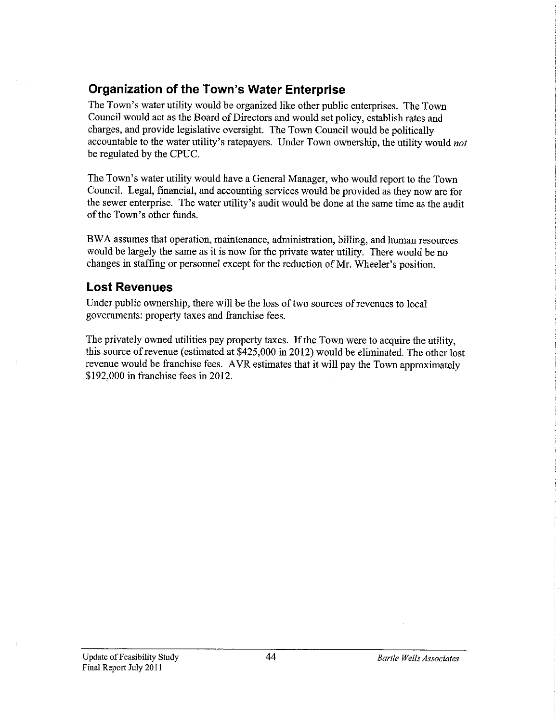### **Organization of the Town's Water Enterprise**

The Town's water utility would be organized like other public enterprises. The Town Council would act as the Board of Directors and would set policy, establish rates and charges, and provide legislative oversight. The Town Council would be politically accountable to the water utility's ratepayers. Under Town ownership, the utility would *not*  be regulated by the CPUC.

The Town's water utility would have a General Manager, who would report to the Town Council. Legal, financial, and accounting services would be provided as they now are for the sewer enterprise. The water utility's audit would be done at the same time as the audit of the Town's other funds.

BW A assumes that operation, maintenance, administration, billing, and human resources would be largely the same as it is now for the private water utility. There would be no changes in staffing or personnel except for the reduction of Mr. Wheeler's position.

#### **Lost Revenues**

Under public ownership, there will be the loss of two sources of revenues to local governments: property taxes and franchise fees.

The privately owned utilities pay property taxes. If the Town were to acquire the utility, this source of revenue (estimated at  $$425,000$  in 2012) would be eliminated. The other lost revenue would be franchise fees. A VR estimates that it will pay the Town approximately \$192,000 in franchise fees in 2012.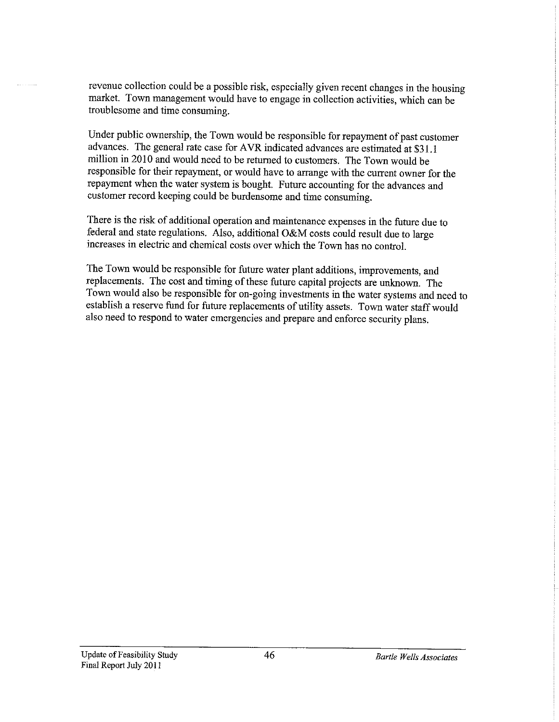revenue collection could be a possible risk, especially given recent changes in the housing market. Town management would have to engage in collection activities, which can be troublesome and time consuming.

Under public ownership, the Town would be responsible for repayment of past customer advances. The general rate case for AVR indicated advances are estimated at \$31.1 million in 2010 and would need to be returned to customers. The Town would be responsible for their repayment, or would have to arrange with the current owner for the repayment when the water system is bought. Future accounting for the advances and customer record keeping could be burdensome and time consuming.

There is the risk of additional operation and maintenance expenses in the future due to federal and state regulations. Also, additional O&M costs could result due to large increases in electric and chemical costs over which the Town has no control.

The Town would be responsible for future water plant additions, improvements, and replacements. The cost and timing of these future capital projects are unknown. The Town would also be responsible for on-going investments in the water systems and need to establish a reserve fund for future replacements of utility assets. Town water staff would also need to respond to water emergencies and prepare and enforce security plans.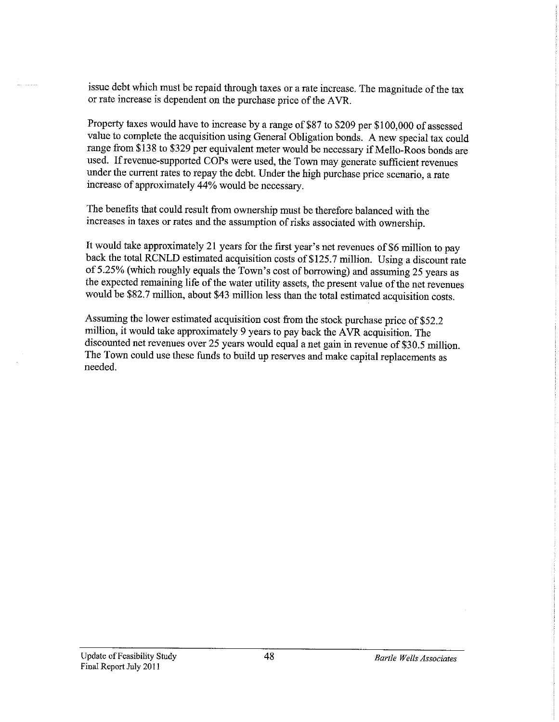issue debt which must be repaid through taxes or a rate increase. The magnitude of the tax or rate increase is dependent on the purchase price of the A VR.

Property taxes would have to increase by a range of \$87 to \$209 per \$100,000 of assessed value to complete the acquisition using General Obligation bonds. A new special tax could range from \$138 to \$329 per equivalent meter would be necessary if Mello-Roos bonds are used. If revenue-supported COPs were used, the Town may generate sufficient revenues under the current rates to repay the debt. Under the high purchase price scenario, a rate increase of approximately 44% would be necessary.

The benefits that could result from ownership must be therefore balanced with the increases in taxes or rates and the assumption of risks associated with ownership.

It would take approximately 21 years for the first year's net revenues of \$6 million to pay back the total RCNLD estimated acquisition costs of \$125.7 million. Using a discount rate of5.25% (which roughly equals the Town's cost of borrowing) and assuming 25 years as the expected remaining life of the water utility assets, the present value of the net revenues would be \$82.7 million, about \$43 million less than the total estimated acquisition costs.

Assuming the lower estimated acquisition cost from the stock purchase price of \$52.2 million, it would take approximately 9 years to pay back the A VR acquisition. The discounted net revenues over 25 years would equal a net gain in revenue of \$30.5 million. The Town could use these funds to build up reserves and make capital replacements as needed.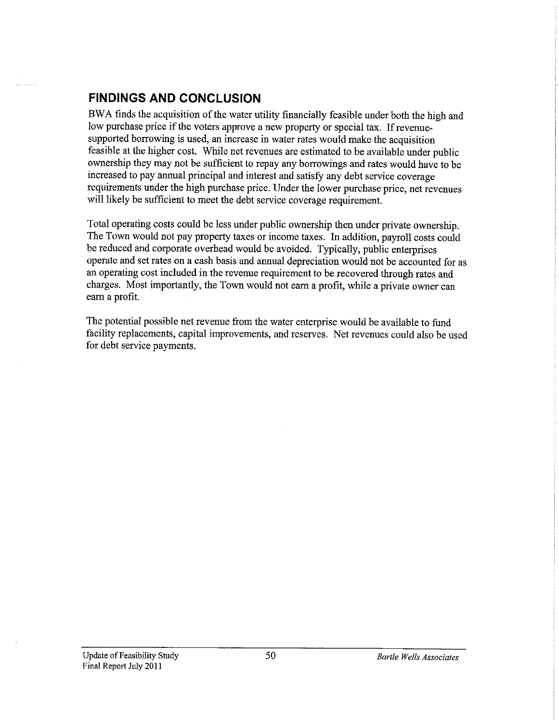#### **FINDINGS AND CONCLUSION**

BW A finds the acquisition of the water utility financially feasible under both the high and low purchase price if the voters approve a new property or special tax. If revenuesupported borrowing is used, an increase in water rates would make the acquisition feasible at the higher cost. While net revenues are estimated to be available under public ownership they may not be sufficient to repay any borrowings and rates would have to be increased to pay annual principal and interest and satisfy any debt service coverage requirements under the high purchase price. Under the lower purchase price, net revenues will likely be sufficient to meet the debt service coverage requirement.

Total operating costs could be less under public ownership then under private ownership. The Town would not pay property taxes or income taxes. In addition, payroll costs could be reduced and corporate overhead would be avoided. Typically, public enterprises operate and set rates on a cash basis and annual depreciation would not be accounted for as an operating cost included in the revenue requirement to be recovered through rates and charges. Most importantly, the Town would not earn a profit, while a private owner can earn a profit.

The potential possible net revenue from the water enterprise would be available to fund facility replacements, capital improvements, and reserves. Net revenues could also be used for debt service payments.